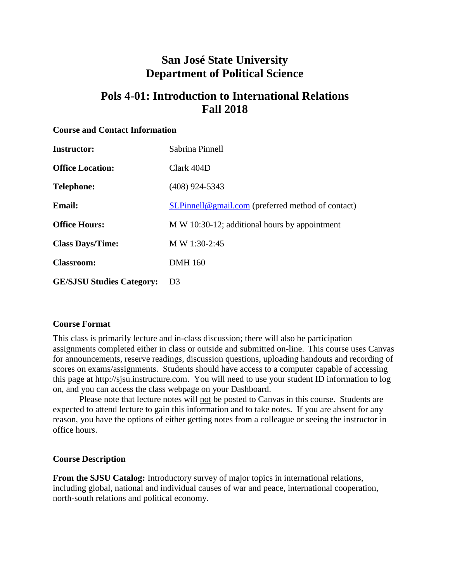# **San José State University Department of Political Science**

# **Pols 4-01: Introduction to International Relations Fall 2018**

#### **Course and Contact Information**

| <b>Instructor:</b>               | Sabrina Pinnell                                   |
|----------------------------------|---------------------------------------------------|
| <b>Office Location:</b>          | Clark 404D                                        |
| <b>Telephone:</b>                | $(408)$ 924-5343                                  |
| <b>Email:</b>                    | SLPinnell@gmail.com (preferred method of contact) |
| <b>Office Hours:</b>             | M W 10:30-12; additional hours by appointment     |
| <b>Class Days/Time:</b>          | M W 1:30-2:45                                     |
| <b>Classroom:</b>                | <b>DMH</b> 160                                    |
| <b>GE/SJSU Studies Category:</b> | D <sub>3</sub>                                    |

#### **Course Format**

This class is primarily lecture and in-class discussion; there will also be participation assignments completed either in class or outside and submitted on-line. This course uses Canvas for announcements, reserve readings, discussion questions, uploading handouts and recording of scores on exams/assignments. Students should have access to a computer capable of accessing this page at http://sjsu.instructure.com. You will need to use your student ID information to log on, and you can access the class webpage on your Dashboard.

Please note that lecture notes will not be posted to Canvas in this course. Students are expected to attend lecture to gain this information and to take notes. If you are absent for any reason, you have the options of either getting notes from a colleague or seeing the instructor in office hours.

#### **Course Description**

**From the SJSU Catalog:** Introductory survey of major topics in international relations, including global, national and individual causes of war and peace, international cooperation, north-south relations and political economy.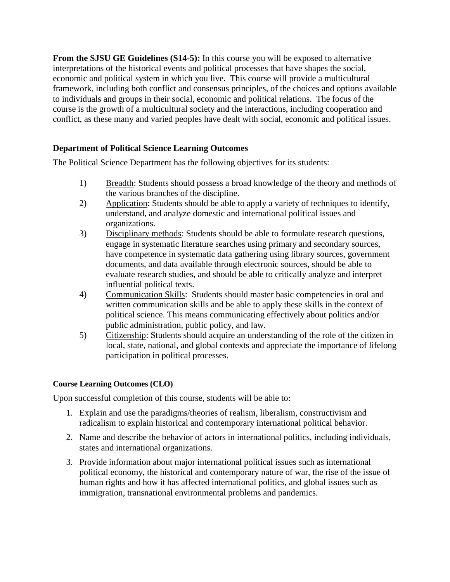**From the SJSU GE Guidelines (S14-5):** In this course you will be exposed to alternative interpretations of the historical events and political processes that have shapes the social, economic and political system in which you live. This course will provide a multicultural framework, including both conflict and consensus principles, of the choices and options available to individuals and groups in their social, economic and political relations. The focus of the course is the growth of a multicultural society and the interactions, including cooperation and conflict, as these many and varied peoples have dealt with social, economic and political issues.

# **Department of Political Science Learning Outcomes**

The Political Science Department has the following objectives for its students:

- 1) Breadth: Students should possess a broad knowledge of the theory and methods of the various branches of the discipline.
- 2) Application: Students should be able to apply a variety of techniques to identify, understand, and analyze domestic and international political issues and organizations.
- 3) Disciplinary methods: Students should be able to formulate research questions, engage in systematic literature searches using primary and secondary sources, have competence in systematic data gathering using library sources, government documents, and data available through electronic sources, should be able to evaluate research studies, and should be able to critically analyze and interpret influential political texts.
- 4) Communication Skills: Students should master basic competencies in oral and written communication skills and be able to apply these skills in the context of political science. This means communicating effectively about politics and/or public administration, public policy, and law.
- 5) Citizenship: Students should acquire an understanding of the role of the citizen in local, state, national, and global contexts and appreciate the importance of lifelong participation in political processes.

#### **Course Learning Outcomes (CLO)**

Upon successful completion of this course, students will be able to:

- 1. Explain and use the paradigms/theories of realism, liberalism, constructivism and radicalism to explain historical and contemporary international political behavior.
- 2. Name and describe the behavior of actors in international politics, including individuals, states and international organizations.
- 3. Provide information about major international political issues such as international political economy, the historical and contemporary nature of war, the rise of the issue of human rights and how it has affected international politics, and global issues such as immigration, transnational environmental problems and pandemics.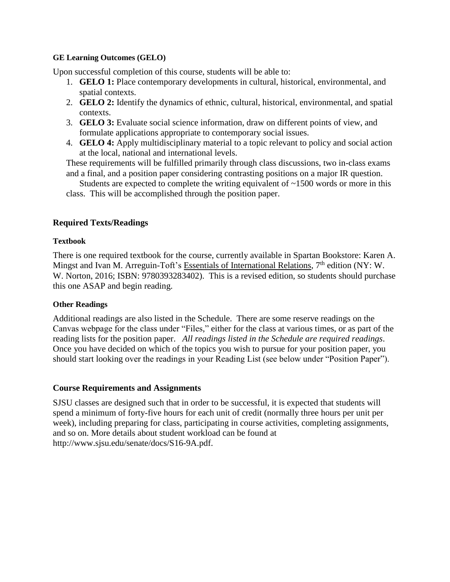#### **GE Learning Outcomes (GELO)**

Upon successful completion of this course, students will be able to:

- 1. **GELO 1:** Place contemporary developments in cultural, historical, environmental, and spatial contexts.
- 2. **GELO 2:** Identify the dynamics of ethnic, cultural, historical, environmental, and spatial contexts.
- 3. **GELO 3:** Evaluate social science information, draw on different points of view, and formulate applications appropriate to contemporary social issues.
- 4. **GELO 4:** Apply multidisciplinary material to a topic relevant to policy and social action at the local, national and international levels.

These requirements will be fulfilled primarily through class discussions, two in-class exams and a final, and a position paper considering contrasting positions on a major IR question.

Students are expected to complete the writing equivalent of  $\sim$ 1500 words or more in this class. This will be accomplished through the position paper.

## **Required Texts/Readings**

#### **Textbook**

There is one required textbook for the course, currently available in Spartan Bookstore: Karen A. Mingst and Ivan M. Arreguin-Toft's Essentials of International Relations,  $7<sup>th</sup>$  edition (NY: W. W. Norton, 2016; ISBN: 9780393283402). This is a revised edition, so students should purchase this one ASAP and begin reading.

#### **Other Readings**

Additional readings are also listed in the Schedule. There are some reserve readings on the Canvas webpage for the class under "Files," either for the class at various times, or as part of the reading lists for the position paper. *All readings listed in the Schedule are required readings*. Once you have decided on which of the topics you wish to pursue for your position paper, you should start looking over the readings in your Reading List (see below under "Position Paper").

#### **Course Requirements and Assignments**

SJSU classes are designed such that in order to be successful, it is expected that students will spend a minimum of forty-five hours for each unit of credit (normally three hours per unit per week), including preparing for class, participating in course activities, completing assignments, and so on. More details about student workload can be found at http://www.sjsu.edu/senate/docs/S16-9A.pdf.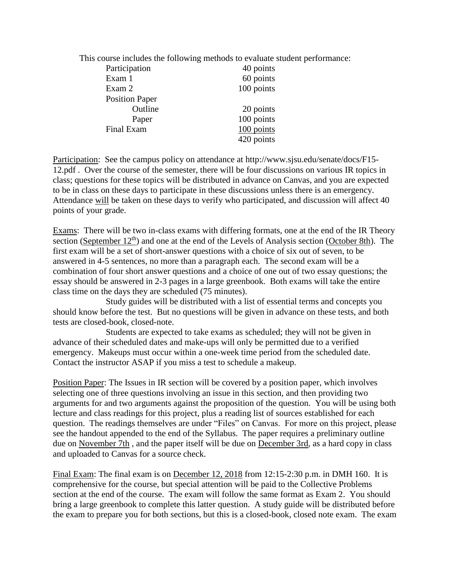This course includes the following methods to evaluate student performance:

| Participation         | 40 points  |
|-----------------------|------------|
| Exam 1                | 60 points  |
| Exam 2                | 100 points |
| <b>Position Paper</b> |            |
| Outline               | 20 points  |
| Paper                 | 100 points |
| Final Exam            | 100 points |
|                       | 420 points |

Participation: See the campus policy on attendance at http://www.sjsu.edu/senate/docs/F15- 12.pdf . Over the course of the semester, there will be four discussions on various IR topics in class; questions for these topics will be distributed in advance on Canvas, and you are expected to be in class on these days to participate in these discussions unless there is an emergency. Attendance will be taken on these days to verify who participated, and discussion will affect 40 points of your grade.

Exams: There will be two in-class exams with differing formats, one at the end of the IR Theory section (September  $12<sup>th</sup>$ ) and one at the end of the Levels of Analysis section (October 8th). The first exam will be a set of short-answer questions with a choice of six out of seven, to be answered in 4-5 sentences, no more than a paragraph each. The second exam will be a combination of four short answer questions and a choice of one out of two essay questions; the essay should be answered in 2-3 pages in a large greenbook. Both exams will take the entire class time on the days they are scheduled (75 minutes).

Study guides will be distributed with a list of essential terms and concepts you should know before the test. But no questions will be given in advance on these tests, and both tests are closed-book, closed-note.

Students are expected to take exams as scheduled; they will not be given in advance of their scheduled dates and make-ups will only be permitted due to a verified emergency. Makeups must occur within a one-week time period from the scheduled date. Contact the instructor ASAP if you miss a test to schedule a makeup.

Position Paper: The Issues in IR section will be covered by a position paper, which involves selecting one of three questions involving an issue in this section, and then providing two arguments for and two arguments against the proposition of the question. You will be using both lecture and class readings for this project, plus a reading list of sources established for each question. The readings themselves are under "Files" on Canvas. For more on this project, please see the handout appended to the end of the Syllabus. The paper requires a preliminary outline due on November 7th , and the paper itself will be due on December 3rd, as a hard copy in class and uploaded to Canvas for a source check.

Final Exam: The final exam is on December 12, 2018 from 12:15-2:30 p.m. in DMH 160. It is comprehensive for the course, but special attention will be paid to the Collective Problems section at the end of the course. The exam will follow the same format as Exam 2. You should bring a large greenbook to complete this latter question. A study guide will be distributed before the exam to prepare you for both sections, but this is a closed-book, closed note exam. The exam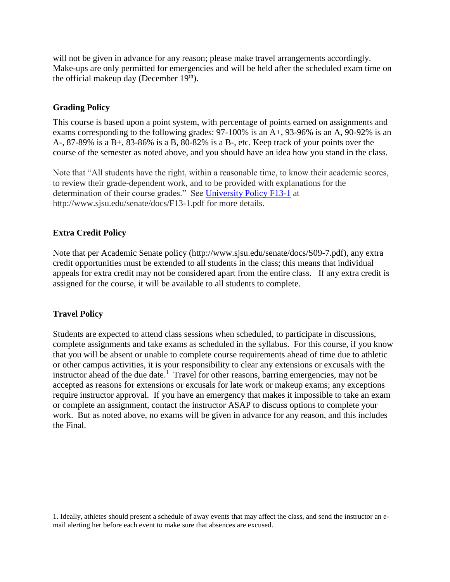will not be given in advance for any reason; please make travel arrangements accordingly. Make-ups are only permitted for emergencies and will be held after the scheduled exam time on the official makeup day (December  $19<sup>th</sup>$ ).

## **Grading Policy**

This course is based upon a point system, with percentage of points earned on assignments and exams corresponding to the following grades: 97-100% is an A+, 93-96% is an A, 90-92% is an A-, 87-89% is a B+, 83-86% is a B, 80-82% is a B-, etc. Keep track of your points over the course of the semester as noted above, and you should have an idea how you stand in the class.

Note that "All students have the right, within a reasonable time, to know their academic scores, to review their grade-dependent work, and to be provided with explanations for the determination of their course grades." See [University Policy F13-1](http://www.sjsu.edu/senate/docs/F13-1.pdf) at http://www.sjsu.edu/senate/docs/F13-1.pdf for more details.

# **Extra Credit Policy**

Note that per Academic Senate policy (http://www.sjsu.edu/senate/docs/S09-7.pdf), any extra credit opportunities must be extended to all students in the class; this means that individual appeals for extra credit may not be considered apart from the entire class. If any extra credit is assigned for the course, it will be available to all students to complete.

#### **Travel Policy**

 $\overline{a}$ 

Students are expected to attend class sessions when scheduled, to participate in discussions, complete assignments and take exams as scheduled in the syllabus. For this course, if you know that you will be absent or unable to complete course requirements ahead of time due to athletic or other campus activities, it is your responsibility to clear any extensions or excusals with the instructor ahead of the due date.<sup>1</sup> Travel for other reasons, barring emergencies, may not be accepted as reasons for extensions or excusals for late work or makeup exams; any exceptions require instructor approval. If you have an emergency that makes it impossible to take an exam or complete an assignment, contact the instructor ASAP to discuss options to complete your work. But as noted above, no exams will be given in advance for any reason, and this includes the Final.

<sup>1.</sup> Ideally, athletes should present a schedule of away events that may affect the class, and send the instructor an email alerting her before each event to make sure that absences are excused.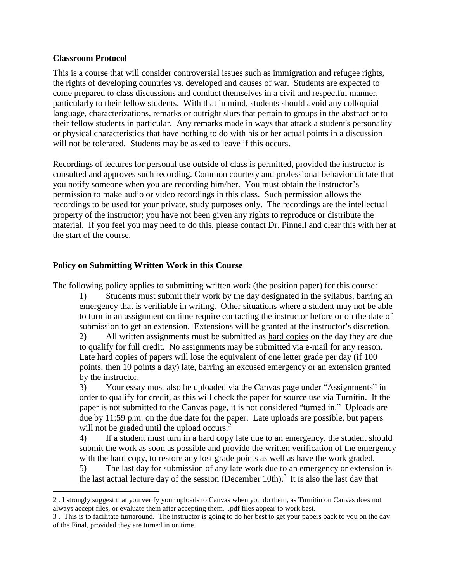#### **Classroom Protocol**

 $\overline{a}$ 

This is a course that will consider controversial issues such as immigration and refugee rights, the rights of developing countries vs. developed and causes of war. Students are expected to come prepared to class discussions and conduct themselves in a civil and respectful manner, particularly to their fellow students. With that in mind, students should avoid any colloquial language, characterizations, remarks or outright slurs that pertain to groups in the abstract or to their fellow students in particular. Any remarks made in ways that attack a student's personality or physical characteristics that have nothing to do with his or her actual points in a discussion will not be tolerated. Students may be asked to leave if this occurs.

Recordings of lectures for personal use outside of class is permitted, provided the instructor is consulted and approves such recording. Common courtesy and professional behavior dictate that you notify someone when you are recording him/her. You must obtain the instructor's permission to make audio or video recordings in this class. Such permission allows the recordings to be used for your private, study purposes only. The recordings are the intellectual property of the instructor; you have not been given any rights to reproduce or distribute the material. If you feel you may need to do this, please contact Dr. Pinnell and clear this with her at the start of the course.

## **Policy on Submitting Written Work in this Course**

The following policy applies to submitting written work (the position paper) for this course:

1) Students must submit their work by the day designated in the syllabus, barring an emergency that is verifiable in writing. Other situations where a student may not be able to turn in an assignment on time require contacting the instructor before or on the date of submission to get an extension. Extensions will be granted at the instructor's discretion.

2) All written assignments must be submitted as hard copies on the day they are due to qualify for full credit. No assignments may be submitted via e-mail for any reason. Late hard copies of papers will lose the equivalent of one letter grade per day (if 100 points, then 10 points a day) late, barring an excused emergency or an extension granted by the instructor.

3) Your essay must also be uploaded via the Canvas page under "Assignments" in order to qualify for credit, as this will check the paper for source use via Turnitin. If the paper is not submitted to the Canvas page, it is not considered "turned in." Uploads are due by 11:59 p.m. on the due date for the paper. Late uploads are possible, but papers will not be graded until the upload occurs. $2^2$ 

4) If a student must turn in a hard copy late due to an emergency, the student should submit the work as soon as possible and provide the written verification of the emergency with the hard copy, to restore any lost grade points as well as have the work graded.

5) The last day for submission of any late work due to an emergency or extension is the last actual lecture day of the session (December 10th).<sup>3</sup> It is also the last day that

<sup>2</sup> . I strongly suggest that you verify your uploads to Canvas when you do them, as Turnitin on Canvas does not always accept files, or evaluate them after accepting them. .pdf files appear to work best.

<sup>3</sup> . This is to facilitate turnaround. The instructor is going to do her best to get your papers back to you on the day of the Final, provided they are turned in on time.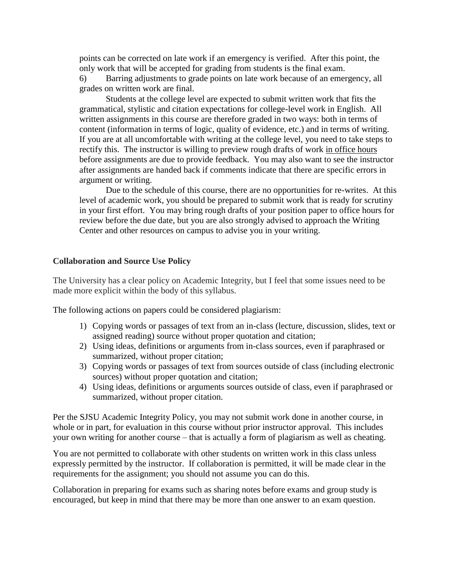points can be corrected on late work if an emergency is verified. After this point, the only work that will be accepted for grading from students is the final exam.

6) Barring adjustments to grade points on late work because of an emergency, all grades on written work are final.

Students at the college level are expected to submit written work that fits the grammatical, stylistic and citation expectations for college-level work in English. All written assignments in this course are therefore graded in two ways: both in terms of content (information in terms of logic, quality of evidence, etc.) and in terms of writing. If you are at all uncomfortable with writing at the college level, you need to take steps to rectify this. The instructor is willing to preview rough drafts of work in office hours before assignments are due to provide feedback. You may also want to see the instructor after assignments are handed back if comments indicate that there are specific errors in argument or writing.

Due to the schedule of this course, there are no opportunities for re-writes. At this level of academic work, you should be prepared to submit work that is ready for scrutiny in your first effort. You may bring rough drafts of your position paper to office hours for review before the due date, but you are also strongly advised to approach the Writing Center and other resources on campus to advise you in your writing.

#### **Collaboration and Source Use Policy**

The University has a clear policy on Academic Integrity, but I feel that some issues need to be made more explicit within the body of this syllabus.

The following actions on papers could be considered plagiarism:

- 1) Copying words or passages of text from an in-class (lecture, discussion, slides, text or assigned reading) source without proper quotation and citation;
- 2) Using ideas, definitions or arguments from in-class sources, even if paraphrased or summarized, without proper citation;
- 3) Copying words or passages of text from sources outside of class (including electronic sources) without proper quotation and citation;
- 4) Using ideas, definitions or arguments sources outside of class, even if paraphrased or summarized, without proper citation.

Per the SJSU Academic Integrity Policy, you may not submit work done in another course, in whole or in part, for evaluation in this course without prior instructor approval. This includes your own writing for another course – that is actually a form of plagiarism as well as cheating.

You are not permitted to collaborate with other students on written work in this class unless expressly permitted by the instructor. If collaboration is permitted, it will be made clear in the requirements for the assignment; you should not assume you can do this.

Collaboration in preparing for exams such as sharing notes before exams and group study is encouraged, but keep in mind that there may be more than one answer to an exam question.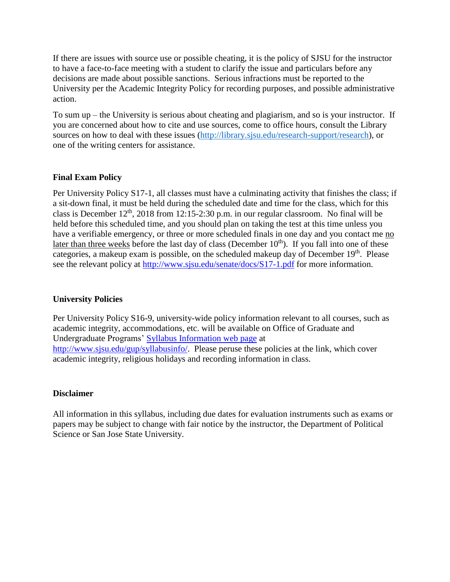If there are issues with source use or possible cheating, it is the policy of SJSU for the instructor to have a face-to-face meeting with a student to clarify the issue and particulars before any decisions are made about possible sanctions. Serious infractions must be reported to the University per the Academic Integrity Policy for recording purposes, and possible administrative action.

To sum up – the University is serious about cheating and plagiarism, and so is your instructor. If you are concerned about how to cite and use sources, come to office hours, consult the Library sources on how to deal with these issues [\(http://library.sjsu.edu/research-support/research\)](http://library.sjsu.edu/research-support/research), or one of the writing centers for assistance.

# **Final Exam Policy**

Per University Policy S17-1, all classes must have a culminating activity that finishes the class; if a sit-down final, it must be held during the scheduled date and time for the class, which for this class is December 12<sup>th</sup>, 2018 from 12:15-2:30 p.m. in our regular classroom. No final will be held before this scheduled time, and you should plan on taking the test at this time unless you have a verifiable emergency, or three or more scheduled finals in one day and you contact me no later than three weeks before the last day of class (December  $10<sup>th</sup>$ ). If you fall into one of these categories, a makeup exam is possible, on the scheduled makeup day of December 19<sup>th</sup>. Please see the relevant policy at<http://www.sjsu.edu/senate/docs/S17-1.pdf> for more information.

# **University Policies**

Per University Policy S16-9, university-wide policy information relevant to all courses, such as academic integrity, accommodations, etc. will be available on Office of Graduate and Undergraduate Programs' [Syllabus Information web page](http://www.sjsu.edu/gup/syllabusinfo/) at [http://www.sjsu.edu/gup/syllabusinfo/.](http://www.sjsu.edu/gup/syllabusinfo/) Please peruse these policies at the link, which cover academic integrity, religious holidays and recording information in class.

#### **Disclaimer**

All information in this syllabus, including due dates for evaluation instruments such as exams or papers may be subject to change with fair notice by the instructor, the Department of Political Science or San Jose State University.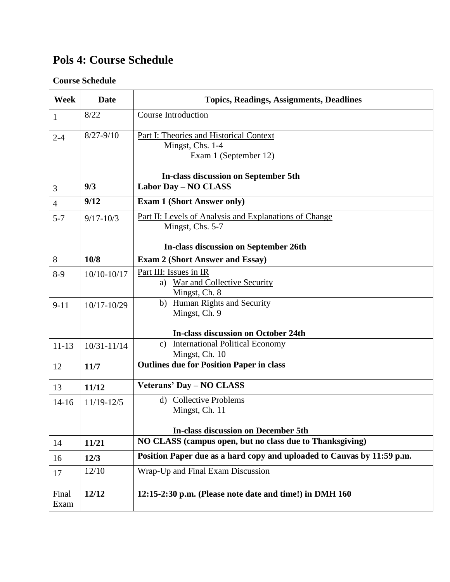# **Pols 4: Course Schedule**

# **Course Schedule**

| Week           | <b>Date</b>     | <b>Topics, Readings, Assignments, Deadlines</b>                                        |
|----------------|-----------------|----------------------------------------------------------------------------------------|
| 1              | 8/22            | <b>Course Introduction</b>                                                             |
| $2 - 4$        | $8/27 - 9/10$   | Part I: Theories and Historical Context<br>Mingst, Chs. 1-4<br>Exam 1 (September 12)   |
|                |                 | In-class discussion on September 5th                                                   |
| 3              | 9/3             | <b>Labor Day - NO CLASS</b>                                                            |
| $\overline{4}$ | 9/12            | <b>Exam 1 (Short Answer only)</b>                                                      |
| $5 - 7$        | $9/17 - 10/3$   | Part II: Levels of Analysis and Explanations of Change<br>Mingst, Chs. 5-7             |
|                |                 | In-class discussion on September 26th                                                  |
| 8              | 10/8            | <b>Exam 2 (Short Answer and Essay)</b>                                                 |
| $8-9$          | $10/10 - 10/17$ | Part III: Issues in IR<br>a) War and Collective Security<br>Mingst, Ch. 8              |
| $9 - 11$       | 10/17-10/29     | b) Human Rights and Security<br>Mingst, Ch. 9                                          |
|                |                 | <b>In-class discussion on October 24th</b>                                             |
| $11 - 13$      | $10/31 - 11/14$ | c) International Political Economy<br>Mingst, Ch. 10                                   |
| 12             | 11/7            | <b>Outlines due for Position Paper in class</b>                                        |
| 13             | 11/12           | Veterans' Day - NO CLASS                                                               |
| $14 - 16$      | $11/19 - 12/5$  | d) Collective Problems<br>Mingst, Ch. 11<br><b>In-class discussion on December 5th</b> |
| 14             | 11/21           | NO CLASS (campus open, but no class due to Thanksgiving)                               |
| 16             | 12/3            | Position Paper due as a hard copy and uploaded to Canvas by 11:59 p.m.                 |
| 17             | 12/10           | <b>Wrap-Up and Final Exam Discussion</b>                                               |
| Final<br>Exam  | 12/12           | 12:15-2:30 p.m. (Please note date and time!) in DMH 160                                |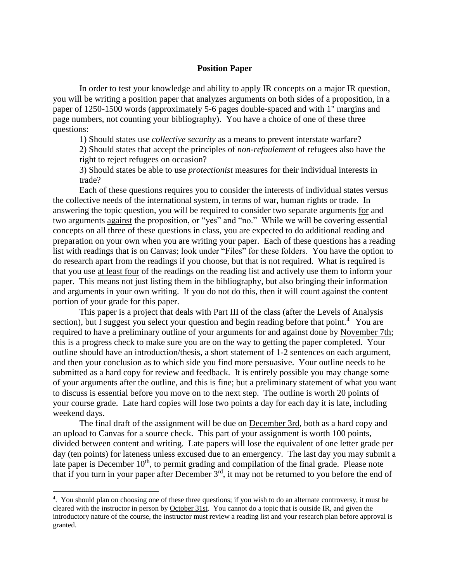#### **Position Paper**

In order to test your knowledge and ability to apply IR concepts on a major IR question, you will be writing a position paper that analyzes arguments on both sides of a proposition, in a paper of 1250-1500 words (approximately 5-6 pages double-spaced and with 1" margins and page numbers, not counting your bibliography). You have a choice of one of these three questions:

1) Should states use *collective security* as a means to prevent interstate warfare?

2) Should states that accept the principles of *non-refoulement* of refugees also have the right to reject refugees on occasion?

3) Should states be able to use *protectionist* measures for their individual interests in trade?

Each of these questions requires you to consider the interests of individual states versus the collective needs of the international system, in terms of war, human rights or trade. In answering the topic question, you will be required to consider two separate arguments for and two arguments against the proposition, or "yes" and "no." While we will be covering essential concepts on all three of these questions in class, you are expected to do additional reading and preparation on your own when you are writing your paper. Each of these questions has a reading list with readings that is on Canvas; look under "Files" for these folders. You have the option to do research apart from the readings if you choose, but that is not required. What is required is that you use at least four of the readings on the reading list and actively use them to inform your paper. This means not just listing them in the bibliography, but also bringing their information and arguments in your own writing. If you do not do this, then it will count against the content portion of your grade for this paper.

This paper is a project that deals with Part III of the class (after the Levels of Analysis section), but I suggest you select your question and begin reading before that point.<sup>4</sup> You are required to have a preliminary outline of your arguments for and against done by November 7th; this is a progress check to make sure you are on the way to getting the paper completed. Your outline should have an introduction/thesis, a short statement of 1-2 sentences on each argument, and then your conclusion as to which side you find more persuasive. Your outline needs to be submitted as a hard copy for review and feedback. It is entirely possible you may change some of your arguments after the outline, and this is fine; but a preliminary statement of what you want to discuss is essential before you move on to the next step. The outline is worth 20 points of your course grade. Late hard copies will lose two points a day for each day it is late, including weekend days.

The final draft of the assignment will be due on December 3rd, both as a hard copy and an upload to Canvas for a source check. This part of your assignment is worth 100 points, divided between content and writing. Late papers will lose the equivalent of one letter grade per day (ten points) for lateness unless excused due to an emergency. The last day you may submit a late paper is December 10<sup>th</sup>, to permit grading and compilation of the final grade. Please note that if you turn in your paper after December  $3<sup>rd</sup>$ , it may not be returned to you before the end of

 $\overline{a}$ 

<sup>4</sup> . You should plan on choosing one of these three questions; if you wish to do an alternate controversy, it must be cleared with the instructor in person by October 31st. You cannot do a topic that is outside IR, and given the introductory nature of the course, the instructor must review a reading list and your research plan before approval is granted.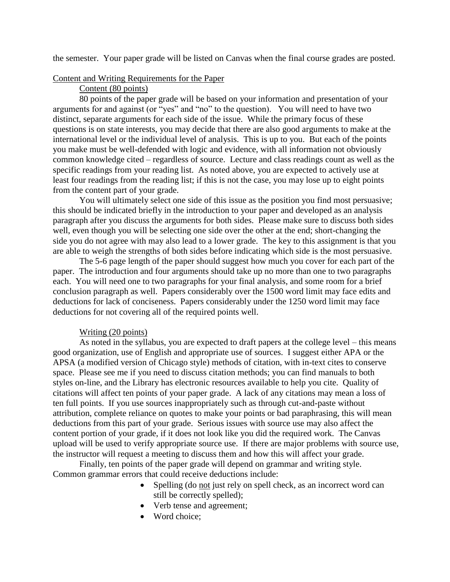the semester. Your paper grade will be listed on Canvas when the final course grades are posted.

#### Content and Writing Requirements for the Paper

#### Content (80 points)

80 points of the paper grade will be based on your information and presentation of your arguments for and against (or "yes" and "no" to the question). You will need to have two distinct, separate arguments for each side of the issue. While the primary focus of these questions is on state interests, you may decide that there are also good arguments to make at the international level or the individual level of analysis. This is up to you. But each of the points you make must be well-defended with logic and evidence, with all information not obviously common knowledge cited – regardless of source. Lecture and class readings count as well as the specific readings from your reading list. As noted above, you are expected to actively use at least four readings from the reading list; if this is not the case, you may lose up to eight points from the content part of your grade.

You will ultimately select one side of this issue as the position you find most persuasive; this should be indicated briefly in the introduction to your paper and developed as an analysis paragraph after you discuss the arguments for both sides. Please make sure to discuss both sides well, even though you will be selecting one side over the other at the end; short-changing the side you do not agree with may also lead to a lower grade. The key to this assignment is that you are able to weigh the strengths of both sides before indicating which side is the most persuasive.

The 5-6 page length of the paper should suggest how much you cover for each part of the paper. The introduction and four arguments should take up no more than one to two paragraphs each. You will need one to two paragraphs for your final analysis, and some room for a brief conclusion paragraph as well. Papers considerably over the 1500 word limit may face edits and deductions for lack of conciseness. Papers considerably under the 1250 word limit may face deductions for not covering all of the required points well.

#### Writing (20 points)

As noted in the syllabus, you are expected to draft papers at the college level – this means good organization, use of English and appropriate use of sources. I suggest either APA or the APSA (a modified version of Chicago style) methods of citation, with in-text cites to conserve space. Please see me if you need to discuss citation methods; you can find manuals to both styles on-line, and the Library has electronic resources available to help you cite. Quality of citations will affect ten points of your paper grade. A lack of any citations may mean a loss of ten full points. If you use sources inappropriately such as through cut-and-paste without attribution, complete reliance on quotes to make your points or bad paraphrasing, this will mean deductions from this part of your grade. Serious issues with source use may also affect the content portion of your grade, if it does not look like you did the required work. The Canvas upload will be used to verify appropriate source use. If there are major problems with source use, the instructor will request a meeting to discuss them and how this will affect your grade.

Finally, ten points of the paper grade will depend on grammar and writing style. Common grammar errors that could receive deductions include:

- Spelling (do not just rely on spell check, as an incorrect word can still be correctly spelled);
- Verb tense and agreement;
- Word choice: